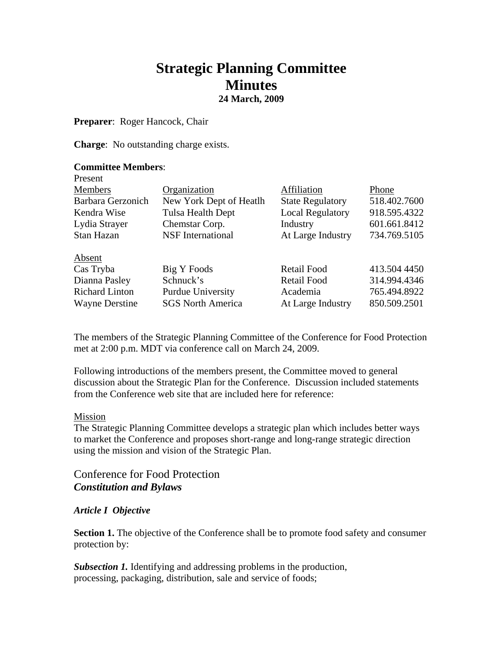# **Strategic Planning Committee Minutes 24 March, 2009**

**Preparer**: Roger Hancock, Chair

**Charge**: No outstanding charge exists.

#### **Committee Members**: Present

| T TUNUTIL             |                          |                         |              |
|-----------------------|--------------------------|-------------------------|--------------|
| <b>Members</b>        | Organization             | Affiliation             | Phone        |
| Barbara Gerzonich     | New York Dept of Heatlh  | <b>State Regulatory</b> | 518.402.7600 |
| Kendra Wise           | Tulsa Health Dept        | <b>Local Regulatory</b> | 918.595.4322 |
| Lydia Strayer         | Chemstar Corp.           | Industry                | 601.661.8412 |
| Stan Hazan            | <b>NSF</b> International | At Large Industry       | 734.769.5105 |
| Absent                |                          |                         |              |
| Cas Tryba             | Big Y Foods              | Retail Food             | 413.504 4450 |
| Dianna Pasley         | Schnuck's                | <b>Retail Food</b>      | 314.994.4346 |
| <b>Richard Linton</b> | Purdue University        | Academia                | 765.494.8922 |
| <b>Wayne Derstine</b> | <b>SGS North America</b> | At Large Industry       | 850.509.2501 |
|                       |                          |                         |              |

The members of the Strategic Planning Committee of the Conference for Food Protection met at 2:00 p.m. MDT via conference call on March 24, 2009.

Following introductions of the members present, the Committee moved to general discussion about the Strategic Plan for the Conference. Discussion included statements from the Conference web site that are included here for reference:

#### Mission

The Strategic Planning Committee develops a strategic plan which includes better ways to market the Conference and proposes short-range and long-range strategic direction using the mission and vision of the Strategic Plan.

## Conference for Food Protection *Constitution and Bylaws*

### *Article I Objective*

**Section 1.** The objective of the Conference shall be to promote food safety and consumer protection by:

*Subsection 1.* Identifying and addressing problems in the production, processing, packaging, distribution, sale and service of foods;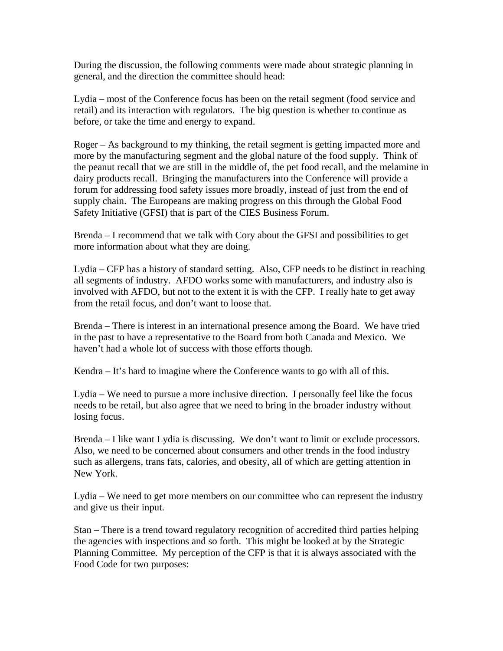During the discussion, the following comments were made about strategic planning in general, and the direction the committee should head:

Lydia – most of the Conference focus has been on the retail segment (food service and retail) and its interaction with regulators. The big question is whether to continue as before, or take the time and energy to expand.

Roger – As background to my thinking, the retail segment is getting impacted more and more by the manufacturing segment and the global nature of the food supply. Think of the peanut recall that we are still in the middle of, the pet food recall, and the melamine in dairy products recall. Bringing the manufacturers into the Conference will provide a forum for addressing food safety issues more broadly, instead of just from the end of supply chain. The Europeans are making progress on this through the Global Food Safety Initiative (GFSI) that is part of the CIES Business Forum.

Brenda – I recommend that we talk with Cory about the GFSI and possibilities to get more information about what they are doing.

Lydia – CFP has a history of standard setting. Also, CFP needs to be distinct in reaching all segments of industry. AFDO works some with manufacturers, and industry also is involved with AFDO, but not to the extent it is with the CFP. I really hate to get away from the retail focus, and don't want to loose that.

Brenda – There is interest in an international presence among the Board. We have tried in the past to have a representative to the Board from both Canada and Mexico. We haven't had a whole lot of success with those efforts though.

Kendra – It's hard to imagine where the Conference wants to go with all of this.

Lydia – We need to pursue a more inclusive direction. I personally feel like the focus needs to be retail, but also agree that we need to bring in the broader industry without losing focus.

Brenda – I like want Lydia is discussing. We don't want to limit or exclude processors. Also, we need to be concerned about consumers and other trends in the food industry such as allergens, trans fats, calories, and obesity, all of which are getting attention in New York.

Lydia – We need to get more members on our committee who can represent the industry and give us their input.

Stan – There is a trend toward regulatory recognition of accredited third parties helping the agencies with inspections and so forth. This might be looked at by the Strategic Planning Committee. My perception of the CFP is that it is always associated with the Food Code for two purposes: